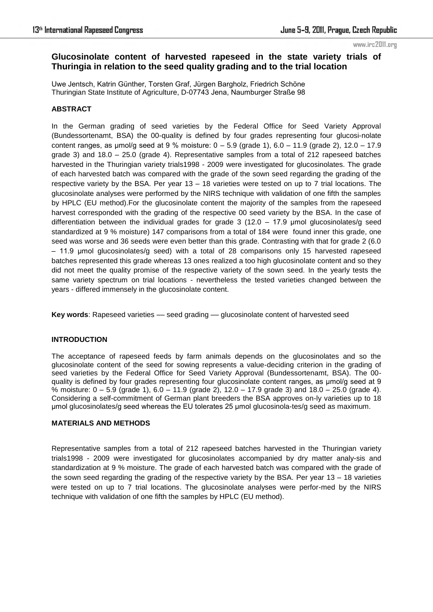www.irc2011.org

# **Glucosinolate content of harvested rapeseed in the state variety trials of Thuringia in relation to the seed quality grading and to the trial location**

Uwe Jentsch, Katrin Günther, Torsten Graf, Jürgen Bargholz, Friedrich Schöne Thuringian State Institute of Agriculture, D-07743 Jena, Naumburger Straße 98

## **ABSTRACT**

In the German grading of seed varieties by the Federal Office for Seed Variety Approval (Bundessortenamt, BSA) the 00-quality is defined by four grades representing four glucosi-nolate content ranges, as  $\mu$ mol/g seed at 9 % moisture:  $0 - 5.9$  (grade 1),  $6.0 - 11.9$  (grade 2),  $12.0 - 17.9$ grade 3) and 18.0 – 25.0 (grade 4). Representative samples from a total of 212 rapeseed batches harvested in the Thuringian variety trials1998 - 2009 were investigated for glucosinolates. The grade of each harvested batch was compared with the grade of the sown seed regarding the grading of the respective variety by the BSA. Per year 13 – 18 varieties were tested on up to 7 trial locations. The glucosinolate analyses were performed by the NIRS technique with validation of one fifth the samples by HPLC (EU method).For the glucosinolate content the majority of the samples from the rapeseed harvest corresponded with the grading of the respective 00 seed variety by the BSA. In the case of differentiation between the individual grades for grade  $3$  (12.0 – 17.9 µmol glucosinolates/g seed standardized at 9 % moisture) 147 comparisons from a total of 184 were found inner this grade, one seed was worse and 36 seeds were even better than this grade. Contrasting with that for grade 2 (6.0 – 11.9 µmol glucosinolates/g seed) with a total of 28 comparisons only 15 harvested rapeseed batches represented this grade whereas 13 ones realized a too high glucosinolate content and so they did not meet the quality promise of the respective variety of the sown seed. In the yearly tests the same variety spectrum on trial locations - nevertheless the tested varieties changed between the years - differed immensely in the glucosinolate content.

**Key words**: Rapeseed varieties –– seed grading –– glucosinolate content of harvested seed

### **INTRODUCTION**

The acceptance of rapeseed feeds by farm animals depends on the glucosinolates and so the glucosinolate content of the seed for sowing represents a value-deciding criterion in the grading of seed varieties by the Federal Office for Seed Variety Approval (Bundessortenamt, BSA). The 00 quality is defined by four grades representing four glucosinolate content ranges, as µmol/g seed at 9 % moisture: 0 – 5.9 (grade 1), 6.0 – 11.9 (grade 2), 12.0 – 17.9 grade 3) and 18.0 – 25.0 (grade 4). Considering a self-commitment of German plant breeders the BSA approves on-ly varieties up to 18 µmol glucosinolates/g seed whereas the EU tolerates 25 µmol glucosinola-tes/g seed as maximum.

### **MATERIALS AND METHODS**

Representative samples from a total of 212 rapeseed batches harvested in the Thuringian variety trials1998 - 2009 were investigated for glucosinolates accompanied by dry matter analy-sis and standardization at 9 % moisture. The grade of each harvested batch was compared with the grade of the sown seed regarding the grading of the respective variety by the BSA. Per year 13 – 18 varieties were tested on up to 7 trial locations. The glucosinolate analyses were perfor-med by the NIRS technique with validation of one fifth the samples by HPLC (EU method).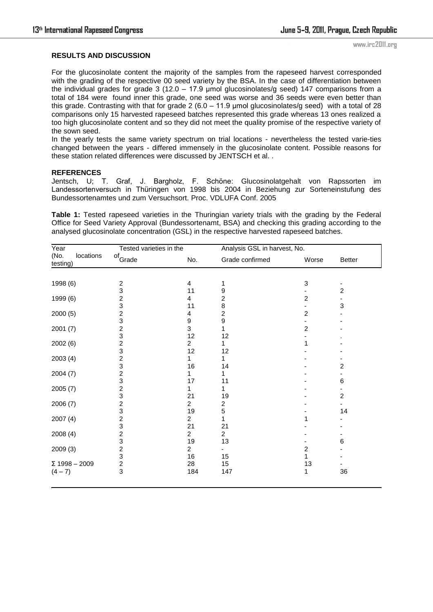www.irc2011.org

#### **RESULTS AND DISCUSSION**

For the glucosinolate content the majority of the samples from the rapeseed harvest corresponded with the grading of the respective 00 seed variety by the BSA. In the case of differentiation between the individual grades for grade  $3$  (12.0 – 17.9 µmol glucosinolates/g seed) 147 comparisons from a total of 184 were found inner this grade, one seed was worse and 36 seeds were even better than this grade. Contrasting with that for grade  $2(6.0 - 11.9 \text{ \mu m})$  glucosinolates/g seed) with a total of 28 comparisons only 15 harvested rapeseed batches represented this grade whereas 13 ones realized a too high glucosinolate content and so they did not meet the quality promise of the respective variety of the sown seed.

In the yearly tests the same variety spectrum on trial locations - nevertheless the tested varie-ties changed between the years - differed immensely in the glucosinolate content. Possible reasons for these station related differences were discussed by JENTSCH et al. .

#### **REFERENCES**

Jentsch, U; T. Graf, J. Bargholz, F. Schöne: Glucosinolatgehalt von Rapssorten im Landessortenversuch in Thüringen von 1998 bis 2004 in Beziehung zur Sorteneinstufung des Bundessortenamtes und zum Versuchsort. Proc. VDLUFA Conf. 2005

**Table 1:** Tested rapeseed varieties in the Thuringian variety trials with the grading by the Federal Office for Seed Variety Approval (Bundessortenamt, BSA) and checking this grading according to the analysed glucosinolate concentration (GSL) in the respective harvested rapeseed batches.

| Year                          | Tested varieties in the |                | Analysis GSL in harvest, No. |                |                         |  |
|-------------------------------|-------------------------|----------------|------------------------------|----------------|-------------------------|--|
| (No.<br>locations<br>testing) | of <sub>Grade</sub>     | No.            | Grade confirmed              | Worse          | Better                  |  |
|                               |                         |                |                              |                |                         |  |
| 1998 (6)                      | 2                       | 4              | 1                            | 3              |                         |  |
|                               | 3                       | 11             | 9                            |                | 2                       |  |
| 1999 (6)                      | $\overline{c}$          | 4              | $\overline{c}$               | $\overline{c}$ |                         |  |
|                               | 3                       | 11             | 8                            |                | 3                       |  |
| 2000(5)                       | $\overline{\mathbf{c}}$ | 4              | $\overline{\mathbf{c}}$      | 2              |                         |  |
|                               | 3                       | 9              | 9                            |                |                         |  |
| 2001(7)                       | $\overline{c}$          | 3              | 1                            | $\overline{c}$ |                         |  |
|                               | 3                       | 12             | 12                           |                |                         |  |
| 2002 (6)                      | $\overline{c}$          | 2              | 1                            |                |                         |  |
|                               | 3                       | 12             | 12                           |                |                         |  |
| 2003(4)                       | $\overline{\mathbf{c}}$ | 1              | 1                            |                |                         |  |
|                               | 3                       | 16             | 14                           |                | 2                       |  |
| 2004(7)                       | $\overline{\mathbf{c}}$ |                |                              |                |                         |  |
|                               | 3                       | 17             | 11                           |                | 6                       |  |
| 2005 (7)                      | $\overline{\mathbf{c}}$ | 1              | 1                            |                |                         |  |
|                               | 3                       | 21             | 19                           |                | $\overline{\mathbf{c}}$ |  |
| 2006(7)                       | $\overline{c}$          | $\overline{2}$ | 2                            |                |                         |  |
|                               | 3                       | 19             | 5                            |                | 14                      |  |
| 2007(4)                       | $\overline{c}$          | $\overline{2}$ | 1                            |                |                         |  |
|                               | 3                       | 21             | 21                           |                |                         |  |
| 2008(4)                       | $\overline{\mathbf{c}}$ | 2              | $\overline{2}$               |                |                         |  |
|                               | 3                       | 19             | 13                           |                | 6                       |  |
| 2009 (3)                      | $\overline{c}$          | 2              |                              | 2              |                         |  |
|                               |                         | 16             | 15                           | 1              |                         |  |
| $\Sigma$ 1998 - 2009          | $\frac{3}{2}$           | 28             | 15                           | 13             |                         |  |
| $(4 - 7)$                     | 3                       | 184            | 147                          | 1              | 36                      |  |